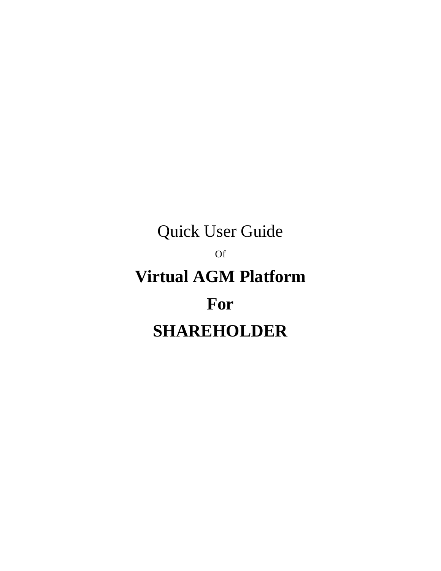# Quick User Guide Of **Virtual AGM Platform** For **SHAREHOLDER**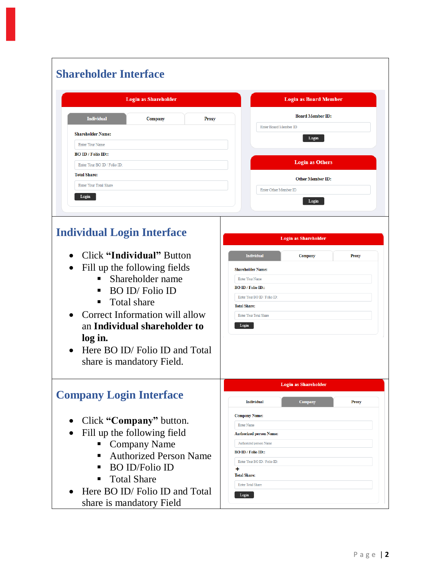| <b>Login as Shareholder</b>                          | <b>Login as Board Member</b>                              |
|------------------------------------------------------|-----------------------------------------------------------|
| <b>Individual</b><br>Company<br><b>Proxy</b>         | <b>Board Member ID:</b>                                   |
| <b>Shareholder Name:</b>                             | Enter Board Member ID<br>Login                            |
| Enter Your Name                                      |                                                           |
| <b>BO ID</b> / Folio ID::                            |                                                           |
| Enter Your BO ID / Folio ID:                         | <b>Login as Others</b>                                    |
| <b>Total Share:</b><br><b>Enter Your Total Share</b> | <b>Other Member ID:</b>                                   |
| Login                                                | Enter Other Member ID                                     |
|                                                      | Login                                                     |
|                                                      |                                                           |
| <b>Individual Login Interface</b>                    |                                                           |
|                                                      | <b>Login as Shareholder</b>                               |
| Click "Individual" Button<br>$\bullet$               | <b>Individual</b><br>Company<br><b>Proxy</b>              |
| Fill up the following fields                         | <b>Shareholder Name:</b>                                  |
| Shareholder name                                     | Enter Your Name                                           |
| BO ID/Folio ID                                       | <b>BO ID / Folio ID::</b>                                 |
| Total share<br>п                                     | Enter Your BO ID / Folio ID:<br><b>Total Share:</b>       |
| • Correct Information will allow                     | Enter Your Total Share                                    |
| an Individual shareholder to                         | Login                                                     |
| log in.                                              |                                                           |
| Here BO ID/Folio ID and Total<br>$\bullet$           |                                                           |
| share is mandatory Field.                            |                                                           |
|                                                      |                                                           |
|                                                      | <b>Login as Shareholder</b>                               |
| <b>Company Login Interface</b>                       | <b>Individual</b><br><b>Company</b><br><b>Proxy</b>       |
|                                                      | <b>Company Name:</b>                                      |
| Click "Company" button.                              | <b>Enter Name</b>                                         |
| Fill up the following field                          | <b>Authorized person Name:</b>                            |
| <b>Company Name</b><br>$\blacksquare$                | Authorized person Name                                    |
| <b>Authorized Person Name</b><br>п                   | <b>BO ID / Folio ID::</b><br>Enter Your BO ID / Folio ID: |
| • BO ID/Folio ID                                     | +                                                         |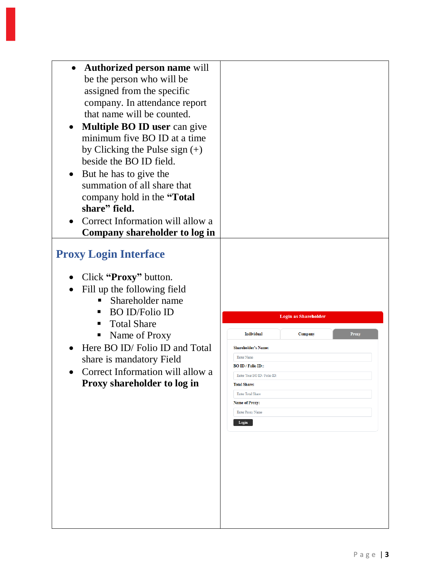| Authorized person name will<br>be the person who will be<br>assigned from the specific<br>company. In attendance report<br>that name will be counted.<br><b>Multiple BO ID user can give</b><br>$\bullet$<br>minimum five BO ID at a time<br>by Clicking the Pulse sign $(+)$<br>beside the BO ID field.<br>But he has to give the<br>$\bullet$<br>summation of all share that<br>company hold in the "Total<br>share" field.<br>Correct Information will allow a<br>Company shareholder to log in |                                                                                                                                                                                                                                                                                                             |
|----------------------------------------------------------------------------------------------------------------------------------------------------------------------------------------------------------------------------------------------------------------------------------------------------------------------------------------------------------------------------------------------------------------------------------------------------------------------------------------------------|-------------------------------------------------------------------------------------------------------------------------------------------------------------------------------------------------------------------------------------------------------------------------------------------------------------|
| <b>Proxy Login Interface</b><br>Click "Proxy" button.<br>Fill up the following field<br>$\bullet$<br>Shareholder name<br><b>BO ID/Folio ID</b><br>п<br><b>Total Share</b><br>п<br>Name of Proxy<br>п<br>Here BO ID/Folio ID and Total<br>share is mandatory Field<br>Correct Information will allow a<br>Proxy shareholder to log in                                                                                                                                                               | <b>Login as Shareholder</b><br><b>Individual</b><br><b>Company</b><br>Proxy<br><b>Shareholder's Name:</b><br><b>Enter Name</b><br><b>BO ID / Folio ID::</b><br>Enter Your BO ID / Folio ID:<br><b>Total Share:</b><br><b>Enter Total Share</b><br><b>Name of Proxy:</b><br><b>Enter Proxy Name</b><br>Login |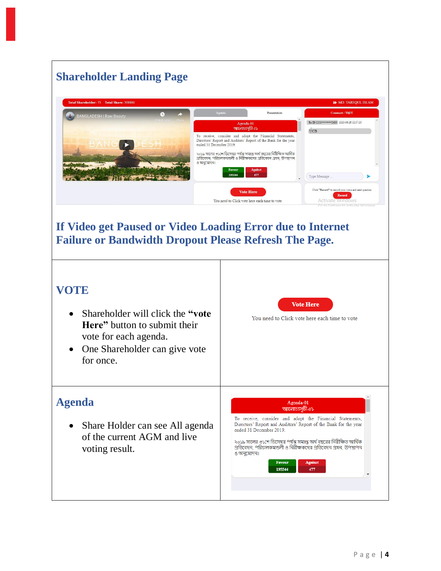## **Shareholder Landing Page**



### If Video get Paused or Video Loading Error due to Internet **Failure or Bandwidth Dropout Please Refresh The Page.**

#### **VOTE**

- Shareholder will click the "vote" Here" button to submit their vote for each agenda.
- One Shareholder can give vote  $\bullet$ for once.

**Vote Here** 

You need to Click vote here each time to vote

#### **Agenda**

Share Holder can see All agenda  $\bullet$ of the current AGM and live voting result.